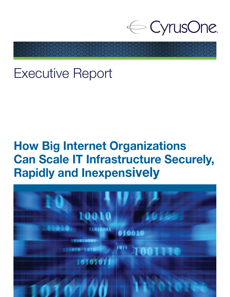

# Executive Report

# How Big Internet Organizations Can Scale IT Infrastructure Securely, Rapidly and Inexpensively

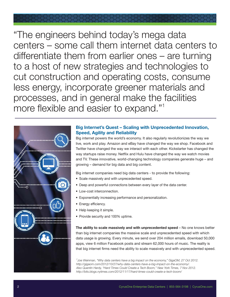

"The engineers behind today's mega data centers – some call them internet data centers to differentiate them from earlier ones – are turning to a host of new strategies and technologies to cut construction and operating costs, consume less energy, incorporate greener materials and processes, and in general make the facilities more flexible and easier to expand."<sup>1</sup>



## Big Internet's Quest – Scaling with Unprecedented Innovation, Speed, Agility and Reliability

Big internet powers the world's economy. It also regularly revolutionizes the way we live, work and play. Amazon and eBay have changed the way we shop. Facebook and Twitter have changed the way we interact with each other. Kickstarter has changed the way startups raise money. Netflix and Hulu have changed the way we watch movies and TV. These innovative, world-changing technology companies generate huge – and growing – demand for big data and big content.

Big internet companies need big data centers - to provide the following:

- Scale massively and with unprecedented speed.
- Deep and powerful connections between every layer of the data center.
- Low-cost interconnection.
- Exponentially increasing performance and personalization.
- Energy efficiency.
- Help keeping it simple.
- Provide security and 100% uptime.

The ability to scale massively and with unprecedented speed - No one knows better than big internet companies the massive scale and unprecedented speed with which data usage is growing. Every minute, we send over 204 million emails, download 50,000 apps, view 6 million Facebook posts and stream 62,000 hours of music. The reality is that big internet firms need the ability to scale massively and with unprecedented speed.

<sup>1</sup>Joe Weinman, "Why data centers have a big impact on the economy," GigaOM, 27 Oct 2012. *http://gigaom.com/2012/10/27/why-data-centers-have-a-big-impact-on-the-economy/. Also Quentin Hardy, "Hard Times Could Create a Tech Boom," New York Times, 7 Nov 2012. http://bits.blogs.nytimes.com/2012/11/17/hard-times-could-create-a-tech-boom/*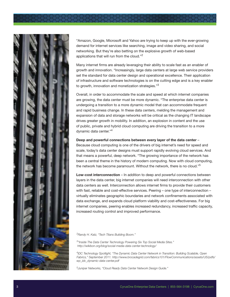

"Amazon, Google, Microsoft and Yahoo are trying to keep up with the ever-growing demand for internet services like searching, image and video sharing, and social networking. But they're also betting on the explosive growth of web-based applications that will run from the cloud."<sup>2</sup>

Many internet firms are already leveraging their ability to scale fast as an enabler of growth and innovation. "Increasingly, large data centers at large web service providers set the standard for data center design and operational excellence. Their application of infrastructure and software technologies is on the cutting edge and is a key enabler to growth, innovation and monetization strategies."3

Overall, in order to accommodate the scale and speed at which internet companies are growing, the data center must be more dynamic. "The enterprise data center is undergoing a transition to a more dynamic model that can accommodate frequent and rapid business change. In these data centers, melding the management and expansion of data and storage networks will be critical as the changing IT landscape drives greater growth in mobility. In addition, an explosion in content and the use of public, private and hybrid cloud computing are driving the transition to a more dynamic data center."<sup>4</sup>

#### Deep and powerful connections between every layer of the data center –

Because cloud computing is one of the drivers of big internet's need for speed and scale, today's data center designs must support rapidly evolving cloud services. And that means a powerful, deep network. "The growing importance of the network has been a central theme in the history of modern computing. Now with cloud computing, the network has become paramount. Without the network, there is no cloud."<sup>5</sup>

Low-cost interconnection – In addition to deep and powerful connections between layers in the data center, big internet companies will need interconnection with other data centers as well. Interconnection allows internet firms to provide their customers with fast, reliable and cost-effective services. Peering – one type of interconnection – virtually eliminates geographic boundaries and network confinements associated with data exchange, and expands cloud platform viability and cost-effectiveness. For big internet companies, peering enables increased redundancy, increased traffic capacity, increased routing control and improved performance.

*<sup>2</sup>Randy H. Katz, "Tech Titans Building Boom."*

*3 "Inside The Data Center Technology Powering Six Top Social Media Sites." http://wikibon.org/blog/social-media-data-center-technology/*

*4 IDC Technology Spotlight, "The Dynamic Data Center Network in Transition: Building Scalable, Open Fabrics," September 2011. http://www.brocadegrid.com/fabrics101/FlowCommunications/assets/US/pdfs/ wp\_idc\_dynamic-data-center.pdf*

*5 Juniper Networks, "Cloud Ready Data Center Network Design Guide."*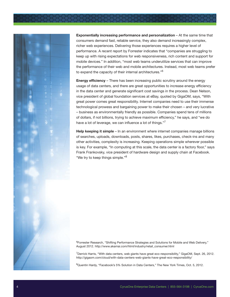



Exponentially increasing performance and personalization – At the same time that consumers demand fast, reliable service, they also demand increasingly complex, richer web experiences. Delivering those experiences requires a higher level of performance. A recent report by Forrester indicates that "companies are struggling to keep up with rising expectations for web responsiveness, rich content and support for mobile devices." In addition, "most web teams underutilize services that can improve the performance of their web and mobile architectures. Instead, most web teams prefer to expand the capacity of their internal architectures."<sup>6</sup>

**Energy efficiency** – There has been increasing public scrutiny around the energy usage of data centers, and there are great opportunities to increase energy efficiency in the data center and generate significant cost savings in the process. Dean Nelson, vice president of global foundation services at eBay, quoted by GigaOM, says, "With great power comes great responsibility. Internet companies need to use their immense technological prowess and bargaining power to make their chosen – and very lucrative – business as environmentally friendly as possible. Companies spend tens of millions of dollars, if not billions, trying to achieve maximum efficiency," he says, and "we do have a lot of leverage, we can influence a lot of things."7

Help keeping it simple – In an environment where internet companies manage billions of searches, uploads, downloads, posts, shares, likes, purchases, check-ins and many other activities, complexity is increasing. Keeping operations simple wherever possible is key. For example, "In computing at this scale, the data center is a factory floor," says Frank Frankovsky, vice president of hardware design and supply chain at Facebook. "We try to keep things simple."<sup>8</sup>

<sup>6</sup>Forrester Research, "Shifting Performance Strategies and Solutions for Mobile and Web Delivery," August 2012. http://www.akamai.com/html/industry/retail\_consumer.html

<sup>7</sup>Derrick Harris, "With data centers, web giants have great eco-responsibility," GigaOM, Sept. 26, 2012. http://gigaom.com/cloud/with-data-centers-web-giants-have-great-eco-responsibility/

<sup>8</sup>Quentin Hardy, "Facebook's 5% Solution in Data Centers," The New York Times, Oct. 5, 2012.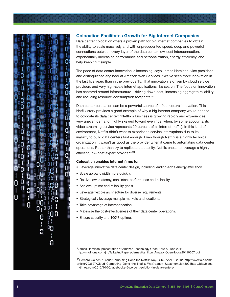

# Colocation Facilitates Growth for Big Internet Companies

Data center colocation offers a proven path for big internet companies to obtain the ability to scale massively and with unprecedented speed, deep and powerful connections between every layer of the data center, low-cost interconnection, exponentially increasing performance and personalization, energy efficiency, and help keeping it simple.

The pace of data center innovation is increasing, says James Hamilton, vice president and distinguished engineer at Amazon Web Services. "We've seen more innovation in the last five years than in the previous 15. That innovation is driven by cloud service providers and very high-scale internet applications like search. The focus on innovation has centered around infrastructure – driving down cost, increasing aggregate reliability and reducing resource-consumption footprints."<sup>9</sup>

Data center colocation can be a powerful source of infrastructure innovation. This Netflix story provides a good example of why a big internet company would choose to colocate its data center: "Netflix's business is growing rapidly and experiences very uneven demand (highly skewed toward evenings, when, by some accounts, its video streaming service represents 29 percent of all internet traffic). In this kind of environment, Netflix didn't want to experience service interruptions due to its inability to build data centers fast enough. Even though Netflix is a highly technical organization, it wasn't as good as the provider when it came to automating data center operations. Rather than try to replicate that ability, Netflix chose to leverage a highly efficient, low-cost expert provider."<sup>10</sup>

#### Colocation enables Internet firms to:

- Leverage innovative data center design, including leading-edge energy efficiency.
- Scale up bandwidth more quickly.
- Realize lower latency, consistent performance and reliability.
- Achieve uptime and reliability goals.
- Leverage flexible architecture for diverse requirements.
- Strategically leverage multiple markets and locations.
- Take advantage of interconnection.
- Maximize the cost-effectiveness of their data center operations.
- Ensure security and 100% uptime.

<sup>9</sup> James Hamilton, presentation at Amazon Technology Open House, June 2011. http://mvdirona.com/jrh/TalksAndPapers/JamesHamilton\_AmazonOpenHouse20110607.pdf

<sup>10</sup>Bernard Golden, "Cloud Computing Done the Netflix Way," CIO, April 5, 2012. http://www.cio.com/ article/703627/Cloud\_Computing\_Done\_the\_Netflix\_Way?page=1&taxonomyId=3024http://bits.blogs. nytimes.com/2012/10/05/facebooks-5-percent-solution-in-data-centers/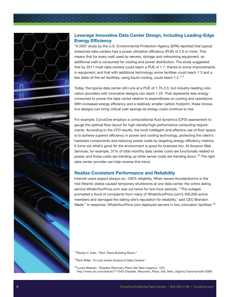

# Leverage Innovative Data Center Design, Including Leading-Edge Energy Efficiency

"A 2007 study by the U.S. Environmental Protection Agency (EPA) reported that typical enterprise data centers had a power utilization efficiency (PUE) of 2.0 or more. This means that for every watt used by servers, storage and networking equipment, an additional watt is consumed for cooling and power distribution. The study suggested that by 2011 most data centers could reach a PUE of 1.7, thanks to some improvements in equipment, and that with additional technology some facilities could reach 1.3 and a few state-of-the-art facilities, using liquid cooling, could reach 1.2."<sup>11</sup>

Today, the typical data center still runs at a PUE of 1.75-2.0, but industry-leading colocation providers with innovative designs can reach 1.25. That represents less energy consumed to power the data center relative to expenditures on cooling and operations. With increased energy efficiency and a relatively smaller carbon footprint, these innovative designs can bring critical cost savings as energy costs continue to rise.

For example, CyrusOne employs a computational fluid dynamics (CFD) assessment to gauge the optimal floor layout for high-density/high-performance computing requirements. According to the CFD results, the most intelligent and effective use of floor space is to achieve superior efficiency in power and cooling technology, protecting the client's hardware components and reducing power costs by targeting energy-efficiency metrics. It turns out what's good for the environment is good for business too: At Amazon Web Services, for example, 31% of total monthly data center costs are functionally related to power, and those costs are trending up while server costs are trending down.<sup>12</sup> The right data center provider can help reverse this trend.

## Realize Consistent Performance and Reliability

Internet users expect always-on, 100% reliability. When severe thunderstorms in the mid-Atlantic states caused temporary shutdowns at one data center, the online dating service WhatsYourPrice.com was out twice for two-hour periods. "'The outages prompted a flood of complaints from many of WhatsYourPrice.com's 400,000 active members and damaged the dating site's reputation for reliability,' said CEO Brandon Wade." In response, WhatsYourPrice.com deploved servers in two colocation facilities.<sup>13</sup>

<sup>11</sup> Randy H. Katz, "Tech Titans Building Boom."

<sup>12</sup>Rich Miller, "A Look Inside Amazon's Data Centers."

<sup>13</sup>Lucas Mearian, "Disaster Recovery Plans Get New Urgency," CIO. http://www.cio.com/article/711043/ Disaster\_Recovery\_Plans\_Get\_New\_Urgency?taxonomyId=3089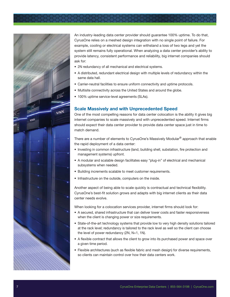



An industry-leading data center provider should guarantee 100% uptime. To do that, CyrusOne relies on a meshed design integration with no single point of failure. For example, cooling or electrical systems can withstand a loss of two legs and yet the system still remains fully operational. When analyzing a data center provider's ability to provide latency, consistent performance and reliability, big internet companies should ask for:

- 2N redundancy of all mechanical and electrical systems.
- A distributed, redundant electrical design with multiple levels of redundancy within the same data hall.
- Carrier-neutral facilities to ensure uniform connectivity and uptime protocols.
- Multisite connectivity across the United States and around the globe.
- 100% uptime service-level agreements (SLAs).

## Scale Massively and with Unprecedented Speed

One of the most compelling reasons for data center colocation is the ability it gives big internet companies to scale massively and with unprecedented speed. Internet firms should expect their data center provider to provide data center space just in time to match demand.

There are a number of elements to CyrusOne's Massively Modular® approach that enable the rapid deployment of a data center:

- Investing in common infrastructure (land, building shell, substation, fire protection and management systems) upfront.
- A modular and scalable design facilitates easy "plug-in" of electrical and mechanical subsystems when needed.
- Building increments scalable to meet customer requirements.
- Infrastructure on the outside, computers on the inside.

Another aspect of being able to scale quickly is contractual and technical flexibility. CyrusOne's best-fit solution grows and adapts with big internet clients as their data center needs evolve.

When looking for a colocation services provider, internet firms should look for:

- A secured, shared infrastructure that can deliver lower costs and faster responsiveness when the client is changing power or size requirements.
- State-of-the-art technology systems that provide low to very high density solutions tailored at the rack level; redundancy is tailored to the rack level as well so the client can choose the level of power redundancy (2N, N+1, 1N).
- A flexible contract that allows the client to grow into its purchased power and space over a given time period.
- Flexible architectures (such as flexible fabric and mesh design) for diverse requirements, so clients can maintain control over how their data centers work.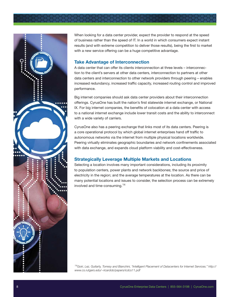



When looking for a data center provider, expect the provider to respond at the speed of business rather than the speed of IT. In a world in which consumers expect instant results (and with extreme competition to deliver those results), being the first to market with a new service offering can be a huge competitive advantage.

## Take Advantage of Interconnection

A data center that can offer its clients interconnection at three levels – interconnection to the client's servers at other data centers, interconnection to partners at other data centers and interconnection to other network providers through peering – enables increased redundancy, increased traffic capacity, increased routing control and improved performance.

Big internet companies should ask data center providers about their interconnection offerings. CyrusOne has built the nation's first statewide internet exchange, or National IX. For big internet companies, the benefits of colocation at a data center with access to a national internet exchange include lower transit costs and the ability to interconnect with a wide variety of carriers.

CyrusOne also has a peering exchange that links most of its data centers. Peering is a core operational protocol by which global internet enterprises hand off traffic to autonomous networks via the internet from multiple physical locations worldwide. Peering virtually eliminates geographic boundaries and network confinements associated with data exchange, and expands cloud platform viability and cost-effectiveness.

# Strategically Leverage Multiple Markets and Locations

Selecting a location involves many important considerations, including its proximity to population centers, power plants and network backbones; the source and price of electricity in the region; and the average temperatures at the location. As there can be many potential locations and issues to consider, the selection process can be extremely involved and time-consuming.<sup>14</sup>

*<sup>14</sup>Goiri, Lez, Guitarty, Torresy and Bianchini, "Intelligent Placement of Datacenters for Internet Services." http:// www.cs.rutgers.edu/~ricardob/papers/icdcs11.pdf*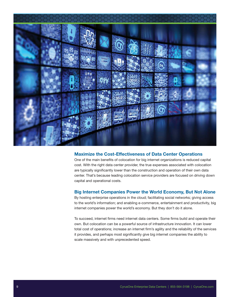

### Maximize the Cost-Effectiveness of Data Center Operations

One of the main benefits of colocation for big internet organizations is reduced capital cost. With the right data center provider, the true expenses associated with colocation are typically significantly lower than the construction and operation of their own data center. That's because leading colocation service providers are focused on driving down capital and operational costs.

### Big Internet Companies Power the World Economy, But Not Alone

By hosting enterprise operations in the cloud; facilitating social networks; giving access to the world's information; and enabling e-commerce, entertainment and productivity, big internet companies power the world's economy. But they don't do it alone.

To succeed, internet firms need internet data centers. Some firms build and operate their own. But colocation can be a powerful source of infrastructure innovation. It can lower total cost of operations; increase an internet firm's agility and the reliability of the services it provides, and perhaps most significantly give big internet companies the ability to scale massively and with unprecedented speed.